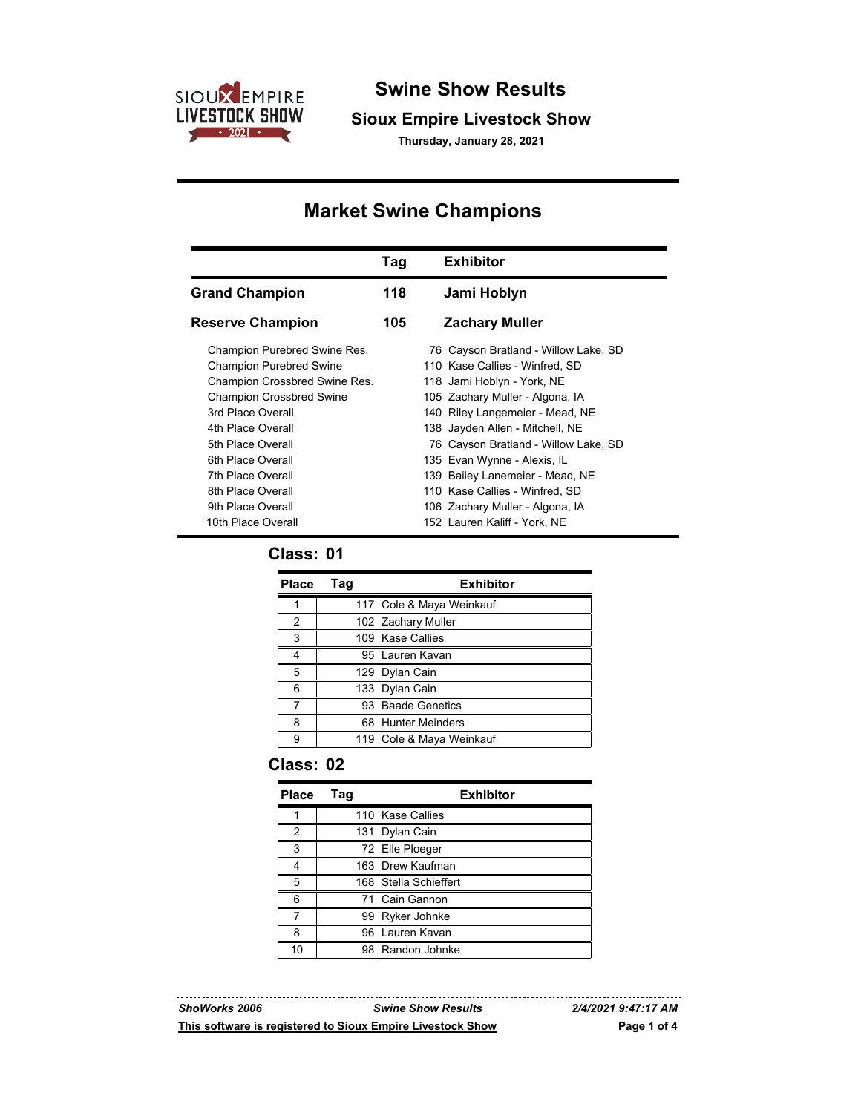

## **Swine Show Results**

#### **Sioux Empire Livestock Show**

**Thursday, January 28, 2021**

# **Market Swine Champions**

|                                                                                                                                                                                                                                                                  | Tag | <b>Exhibitor</b>                                                                                                                                                                                                                                                                                                                                          |
|------------------------------------------------------------------------------------------------------------------------------------------------------------------------------------------------------------------------------------------------------------------|-----|-----------------------------------------------------------------------------------------------------------------------------------------------------------------------------------------------------------------------------------------------------------------------------------------------------------------------------------------------------------|
| <b>Grand Champion</b>                                                                                                                                                                                                                                            | 118 | Jami Hoblyn                                                                                                                                                                                                                                                                                                                                               |
| <b>Reserve Champion</b>                                                                                                                                                                                                                                          | 105 | <b>Zachary Muller</b>                                                                                                                                                                                                                                                                                                                                     |
| Champion Purebred Swine Res.<br><b>Champion Purebred Swine</b><br>Champion Crossbred Swine Res.<br><b>Champion Crossbred Swine</b><br>3rd Place Overall<br>4th Place Overall<br>5th Place Overall<br>6th Place Overall<br>7th Place Overall<br>8th Place Overall |     | 76 Cayson Bratland - Willow Lake, SD<br>110 Kase Callies - Winfred, SD<br>118 Jami Hoblyn - York, NE<br>105 Zachary Muller - Algona, IA<br>140 Riley Langemeier - Mead, NE<br>138 Jayden Allen - Mitchell, NE<br>76 Cayson Bratland - Willow Lake, SD<br>135 Evan Wynne - Alexis, IL<br>139 Bailey Lanemeier - Mead, NE<br>110 Kase Callies - Winfred, SD |
| 9th Place Overall<br>10th Place Overall                                                                                                                                                                                                                          |     | 106 Zachary Muller - Algona, IA<br>152 Lauren Kaliff - York, NE                                                                                                                                                                                                                                                                                           |

#### **Class: 01**

| Place | Tag | <b>Exhibitor</b>         |
|-------|-----|--------------------------|
|       |     | 117 Cole & Maya Weinkauf |
| 2     |     | 102 Zachary Muller       |
| 3     |     | 109 Kase Callies         |
| 4     |     | 95 Lauren Kavan          |
| 5     | 129 | Dylan Cain               |
| 6     |     | 133 Dylan Cain           |
|       | 93  | <b>Baade Genetics</b>    |
| 8     | 68  | <b>Hunter Meinders</b>   |
| g     |     | 119 Cole & Maya Weinkauf |

#### **Class: 02**

<u>-----------------</u>

| <b>Place</b> | Tag | <b>Exhibitor</b>      |
|--------------|-----|-----------------------|
|              |     | 110 Kase Callies      |
| 2            | 131 | Dylan Cain            |
| 3            |     | 72 Elle Ploeger       |
| 4            |     | 163 Drew Kaufman      |
| 5            |     | 168 Stella Schieffert |
| 6            | 71  | Cain Gannon           |
| 7            | 99  | Ryker Johnke          |
| 8            | 961 | Lauren Kavan          |
| 10           | 981 | Randon Johnke         |

*ShoWorks 2006 Swine Show Results 2/4/2021 9:47:17 AM* **This software is registered to Sioux Empire Livestock Show Page 1 of 4**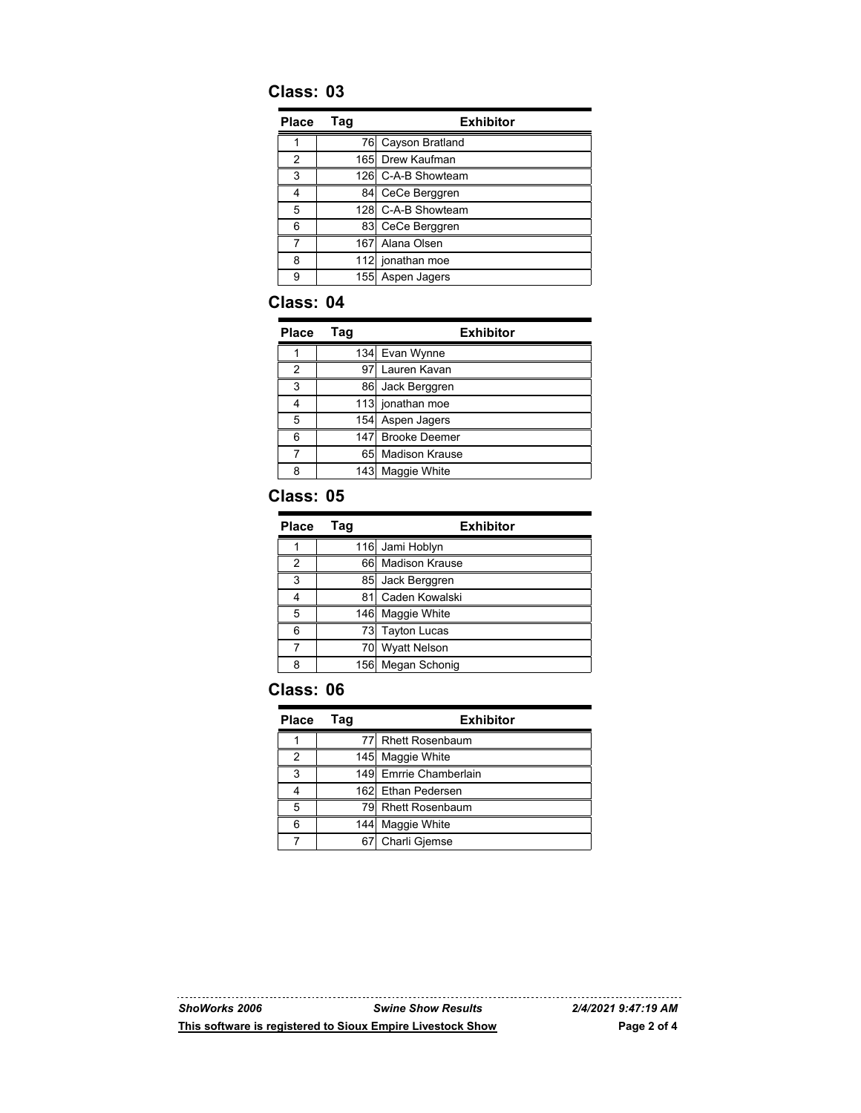## **Class: 03**

| Place | Tag | <b>Exhibitor</b>   |
|-------|-----|--------------------|
|       |     | 76 Cayson Bratland |
| 2     |     | 165 Drew Kaufman   |
| 3     |     | 126 C-A-B Showteam |
| 4     |     | 84 CeCe Berggren   |
| 5     |     | 128 C-A-B Showteam |
| 6     |     | 83 CeCe Berggren   |
|       |     | 167 Alana Olsen    |
| 8     |     | 112 jonathan moe   |
| 9     |     | 155 Aspen Jagers   |

#### **Class: 04**

| <b>Place</b> | Tag | <b>Exhibitor</b>  |
|--------------|-----|-------------------|
|              |     | 134 Evan Wynne    |
| 2            |     | 97 Lauren Kavan   |
| 3            |     | 86 Jack Berggren  |
|              |     | 113 jonathan moe  |
| 5            |     | 154 Aspen Jagers  |
| 6            |     | 147 Brooke Deemer |
|              |     | 65 Madison Krause |
| 8            |     | 143 Maggie White  |

#### **Class: 05**

| Place | Taq | <b>Exhibitor</b>    |
|-------|-----|---------------------|
|       |     | 116 Jami Hoblyn     |
| 2     |     | 66 Madison Krause   |
| 3     | 85  | Jack Berggren       |
|       | 81  | Caden Kowalski      |
| 5     |     | 146 Maggie White    |
| 6     |     | 73 Tayton Lucas     |
|       | 70  | <b>Wyatt Nelson</b> |
| 8     |     | 156 Megan Schonig   |

## **Class: 06**

| <b>Place</b> | Tag | <b>Exhibitor</b>       |
|--------------|-----|------------------------|
|              |     | 77 Rhett Rosenbaum     |
| 2            |     | 145 Maggie White       |
| 3            |     | 149 Emrrie Chamberlain |
|              |     | 162 Ethan Pedersen     |
| 5            |     | 79 Rhett Rosenbaum     |
| 6            | 144 | Maggie White           |
|              |     | 67 Charli Gjemse       |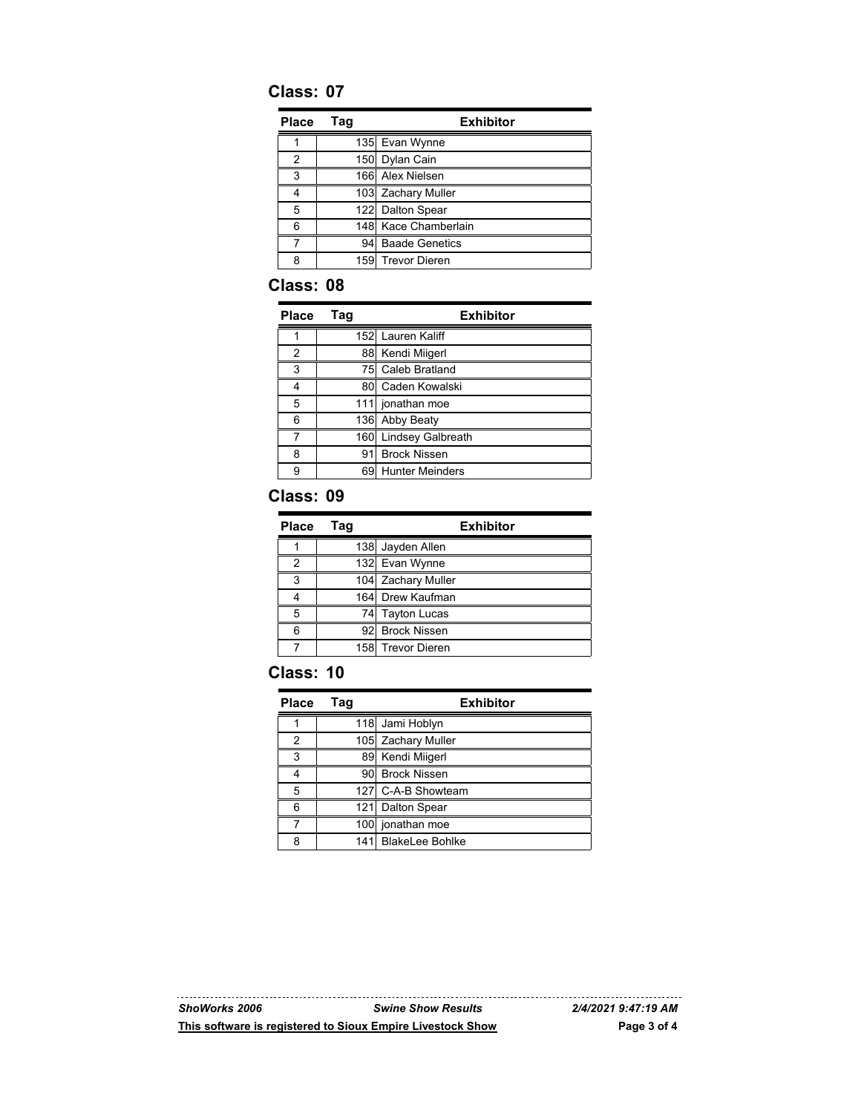## **Class: 07**

| Place         | Tag             | <b>Exhibitor</b>      |
|---------------|-----------------|-----------------------|
|               |                 | 135 Evan Wynne        |
| $\mathcal{P}$ |                 | 150 Dylan Cain        |
| 3             |                 | 166 Alex Nielsen      |
|               |                 | 103 Zachary Muller    |
| 5             |                 | 122 Dalton Spear      |
| հ             |                 | 148 Kace Chamberlain  |
|               | 94 <sup>1</sup> | <b>Baade Genetics</b> |
| ጸ             |                 | 159 Trevor Dieren     |

## **Class: 08**

| <b>Place</b> | Tag | <b>Exhibitor</b>         |
|--------------|-----|--------------------------|
|              |     | 152 Lauren Kaliff        |
| 2            |     | 88 Kendi Miigerl         |
| 3            | 751 | Caleb Bratland           |
| Δ            | 80  | Caden Kowalski           |
| 5            |     | 111 jonathan moe         |
| 6            |     | 136 Abby Beaty           |
|              | 160 | <b>Lindsey Galbreath</b> |
| 8            | 91  | <b>Brock Nissen</b>      |
| 9            | 691 | <b>Hunter Meinders</b>   |

#### **Class: 09**

| <b>Place</b> | Tag | <b>Exhibitor</b>   |
|--------------|-----|--------------------|
|              |     | 138 Jayden Allen   |
| 2            |     | 132 Evan Wynne     |
| 3            |     | 104 Zachary Muller |
|              |     | 164 Drew Kaufman   |
| 5            |     | 74 Tayton Lucas    |
| 6            |     | 92 Brock Nissen    |
|              |     | 158 Trevor Dieren  |

#### **Class: 10**

| <b>Place</b> | Tag  | <b>Exhibitor</b>       |
|--------------|------|------------------------|
|              |      | 118 Jami Hoblyn        |
| 2            |      | 105 Zachary Muller     |
| 3            |      | 89 Kendi Miigerl       |
|              |      | 90 Brock Nissen        |
| 5            |      | 127 C-A-B Showteam     |
| 6            | 1211 | Dalton Spear           |
|              |      | 100 jonathan moe       |
| ጸ            | 1411 | <b>BlakeLee Bohlke</b> |